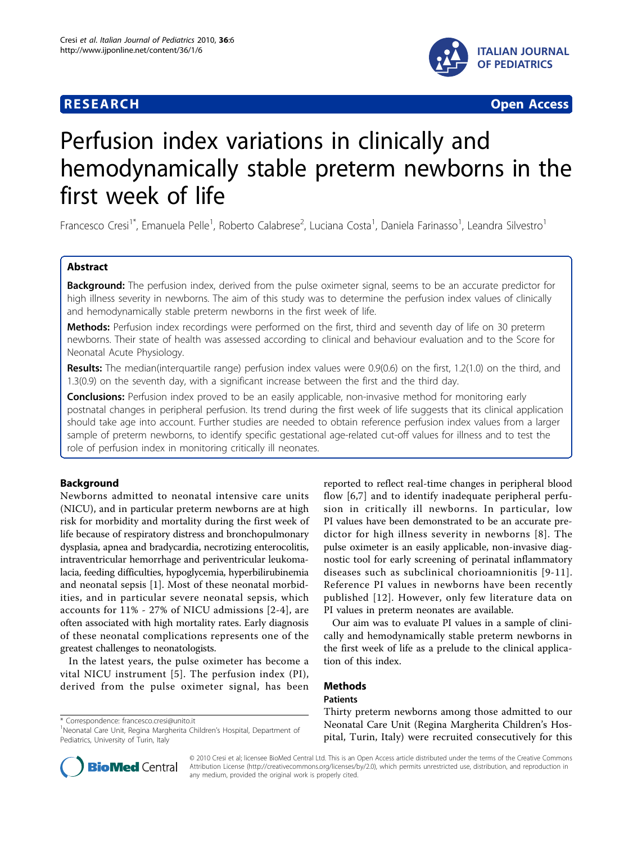## **RESEARCH CONTROL** CONTROL CONTROL CONTROL CONTROL CONTROL CONTROL CONTROL CONTROL CONTROL CONTROL CONTROL CONTROL



# Perfusion index variations in clinically and hemodynamically stable preterm newborns in the first week of life

Francesco Cresi<sup>1\*</sup>, Emanuela Pelle<sup>1</sup>, Roberto Calabrese<sup>2</sup>, Luciana Costa<sup>1</sup>, Daniela Farinasso<sup>1</sup>, Leandra Silvestro<sup>1</sup>

## Abstract

Background: The perfusion index, derived from the pulse oximeter signal, seems to be an accurate predictor for high illness severity in newborns. The aim of this study was to determine the perfusion index values of clinically and hemodynamically stable preterm newborns in the first week of life.

Methods: Perfusion index recordings were performed on the first, third and seventh day of life on 30 preterm newborns. Their state of health was assessed according to clinical and behaviour evaluation and to the Score for Neonatal Acute Physiology.

Results: The median(interquartile range) perfusion index values were 0.9(0.6) on the first, 1.2(1.0) on the third, and 1.3(0.9) on the seventh day, with a significant increase between the first and the third day.

**Conclusions:** Perfusion index proved to be an easily applicable, non-invasive method for monitoring early postnatal changes in peripheral perfusion. Its trend during the first week of life suggests that its clinical application should take age into account. Further studies are needed to obtain reference perfusion index values from a larger sample of preterm newborns, to identify specific gestational age-related cut-off values for illness and to test the role of perfusion index in monitoring critically ill neonates.

## Background

Newborns admitted to neonatal intensive care units (NICU), and in particular preterm newborns are at high risk for morbidity and mortality during the first week of life because of respiratory distress and bronchopulmonary dysplasia, apnea and bradycardia, necrotizing enterocolitis, intraventricular hemorrhage and periventricular leukomalacia, feeding difficulties, hypoglycemia, hyperbilirubinemia and neonatal sepsis [[1](#page-3-0)]. Most of these neonatal morbidities, and in particular severe neonatal sepsis, which accounts for 11% - 27% of NICU admissions [[2-4\]](#page-3-0), are often associated with high mortality rates. Early diagnosis of these neonatal complications represents one of the greatest challenges to neonatologists.

In the latest years, the pulse oximeter has become a vital NICU instrument [[5](#page-3-0)]. The perfusion index (PI), derived from the pulse oximeter signal, has been

\* Correspondence: [francesco.cresi@unito.it](mailto:francesco.cresi@unito.it)

<sup>1</sup>Neonatal Care Unit, Regina Margherita Children's Hospital, Department of Pediatrics, University of Turin, Italy

reported to reflect real-time changes in peripheral blood flow [[6,7](#page-3-0)] and to identify inadequate peripheral perfusion in critically ill newborns. In particular, low PI values have been demonstrated to be an accurate predictor for high illness severity in newborns [\[8\]](#page-3-0). The pulse oximeter is an easily applicable, non-invasive diagnostic tool for early screening of perinatal inflammatory diseases such as subclinical chorioamnionitis [[9](#page-3-0)-[11\]](#page-3-0). Reference PI values in newborns have been recently published [[12\]](#page-3-0). However, only few literature data on PI values in preterm neonates are available.

Our aim was to evaluate PI values in a sample of clinically and hemodynamically stable preterm newborns in the first week of life as a prelude to the clinical application of this index.

## **Methods**

#### Patients

Thirty preterm newborns among those admitted to our Neonatal Care Unit (Regina Margherita Children's Hospital, Turin, Italy) were recruited consecutively for this



© 2010 Cresi et al; licensee BioMed Central Ltd. This is an Open Access article distributed under the terms of the Creative Commons Attribution License [\(http://creativecommons.org/licenses/by/2.0](http://creativecommons.org/licenses/by/2.0)), which permits unrestricted use, distribution, and reproduction in any medium, provided the original work is properly cited.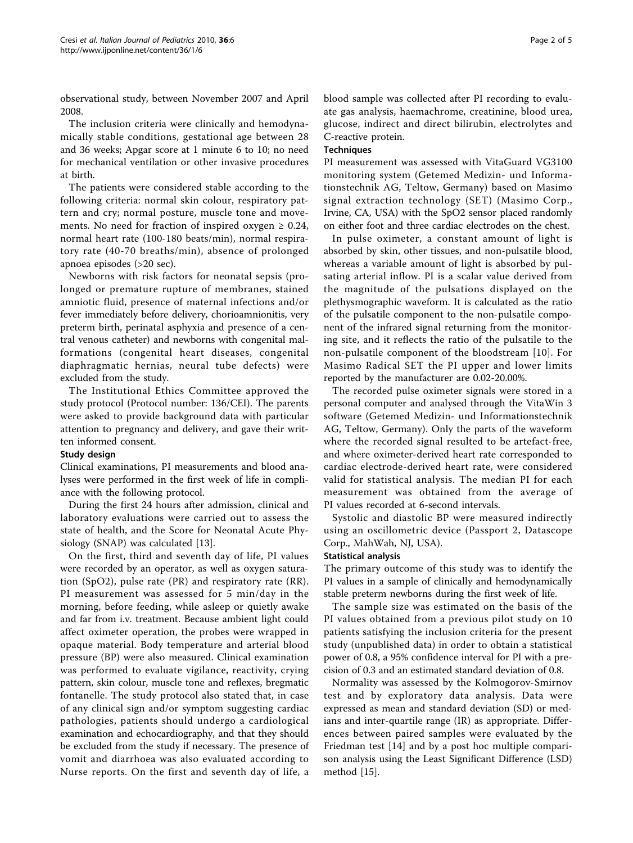observational study, between November 2007 and April 2008.

The inclusion criteria were clinically and hemodynamically stable conditions, gestational age between 28 and 36 weeks; Apgar score at 1 minute 6 to 10; no need for mechanical ventilation or other invasive procedures at birth.

The patients were considered stable according to the following criteria: normal skin colour, respiratory pattern and cry; normal posture, muscle tone and movements. No need for fraction of inspired oxygen  $\geq 0.24$ , normal heart rate (100-180 beats/min), normal respiratory rate (40-70 breaths/min), absence of prolonged apnoea episodes (>20 sec).

Newborns with risk factors for neonatal sepsis (prolonged or premature rupture of membranes, stained amniotic fluid, presence of maternal infections and/or fever immediately before delivery, chorioamnionitis, very preterm birth, perinatal asphyxia and presence of a central venous catheter) and newborns with congenital malformations (congenital heart diseases, congenital diaphragmatic hernias, neural tube defects) were excluded from the study.

The Institutional Ethics Committee approved the study protocol (Protocol number: 136/CEI). The parents were asked to provide background data with particular attention to pregnancy and delivery, and gave their written informed consent.

#### Study design

Clinical examinations, PI measurements and blood analyses were performed in the first week of life in compliance with the following protocol.

During the first 24 hours after admission, clinical and laboratory evaluations were carried out to assess the state of health, and the Score for Neonatal Acute Physiology (SNAP) was calculated [[13](#page-3-0)].

On the first, third and seventh day of life, PI values were recorded by an operator, as well as oxygen saturation (SpO2), pulse rate (PR) and respiratory rate (RR). PI measurement was assessed for 5 min/day in the morning, before feeding, while asleep or quietly awake and far from i.v. treatment. Because ambient light could affect oximeter operation, the probes were wrapped in opaque material. Body temperature and arterial blood pressure (BP) were also measured. Clinical examination was performed to evaluate vigilance, reactivity, crying pattern, skin colour, muscle tone and reflexes, bregmatic fontanelle. The study protocol also stated that, in case of any clinical sign and/or symptom suggesting cardiac pathologies, patients should undergo a cardiological examination and echocardiography, and that they should be excluded from the study if necessary. The presence of vomit and diarrhoea was also evaluated according to Nurse reports. On the first and seventh day of life, a blood sample was collected after PI recording to evaluate gas analysis, haemachrome, creatinine, blood urea, glucose, indirect and direct bilirubin, electrolytes and C-reactive protein.

#### **Techniques**

PI measurement was assessed with VitaGuard VG3100 monitoring system (Getemed Medizin- und Informationstechnik AG, Teltow, Germany) based on Masimo signal extraction technology (SET) (Masimo Corp., Irvine, CA, USA) with the SpO2 sensor placed randomly on either foot and three cardiac electrodes on the chest.

In pulse oximeter, a constant amount of light is absorbed by skin, other tissues, and non-pulsatile blood, whereas a variable amount of light is absorbed by pulsating arterial inflow. PI is a scalar value derived from the magnitude of the pulsations displayed on the plethysmographic waveform. It is calculated as the ratio of the pulsatile component to the non-pulsatile component of the infrared signal returning from the monitoring site, and it reflects the ratio of the pulsatile to the non-pulsatile component of the bloodstream [[10\]](#page-3-0). For Masimo Radical SET the PI upper and lower limits reported by the manufacturer are 0.02-20.00%.

The recorded pulse oximeter signals were stored in a personal computer and analysed through the VitaWin 3 software (Getemed Medizin- und Informationstechnik AG, Teltow, Germany). Only the parts of the waveform where the recorded signal resulted to be artefact-free, and where oximeter-derived heart rate corresponded to cardiac electrode-derived heart rate, were considered valid for statistical analysis. The median PI for each measurement was obtained from the average of PI values recorded at 6-second intervals.

Systolic and diastolic BP were measured indirectly using an oscillometric device (Passport 2, Datascope Corp., MahWah, NJ, USA).

#### Statistical analysis

The primary outcome of this study was to identify the PI values in a sample of clinically and hemodynamically stable preterm newborns during the first week of life.

The sample size was estimated on the basis of the PI values obtained from a previous pilot study on 10 patients satisfying the inclusion criteria for the present study (unpublished data) in order to obtain a statistical power of 0.8, a 95% confidence interval for PI with a precision of 0.3 and an estimated standard deviation of 0.8.

Normality was assessed by the Kolmogorov-Smirnov test and by exploratory data analysis. Data were expressed as mean and standard deviation (SD) or medians and inter-quartile range (IR) as appropriate. Differences between paired samples were evaluated by the Friedman test [[14\]](#page-3-0) and by a post hoc multiple comparison analysis using the Least Significant Difference (LSD) method [\[15](#page-4-0)].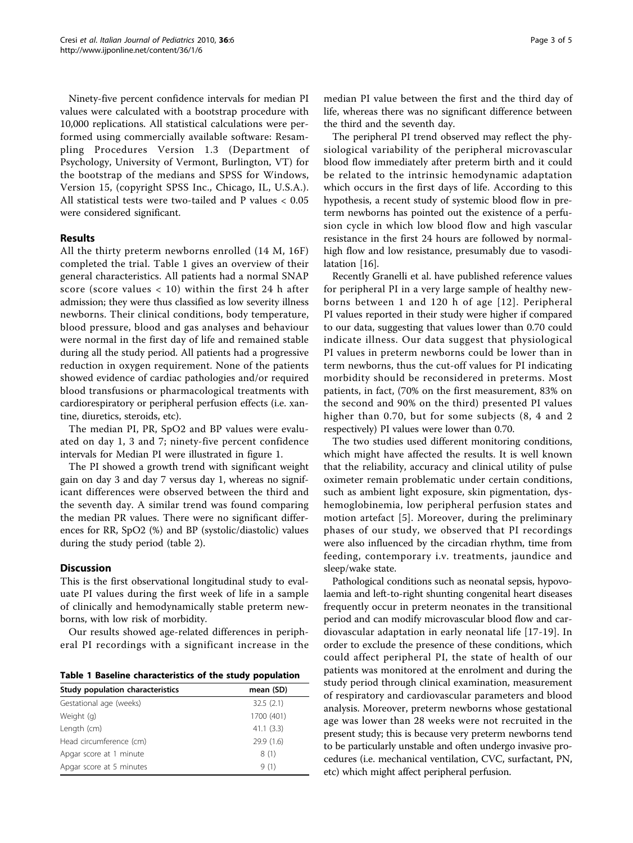Ninety-five percent confidence intervals for median PI values were calculated with a bootstrap procedure with 10,000 replications. All statistical calculations were performed using commercially available software: Resampling Procedures Version 1.3 (Department of Psychology, University of Vermont, Burlington, VT) for the bootstrap of the medians and SPSS for Windows, Version 15, (copyright SPSS Inc., Chicago, IL, U.S.A.). All statistical tests were two-tailed and P values < 0.05 were considered significant.

## Results

All the thirty preterm newborns enrolled (14 M, 16F) completed the trial. Table 1 gives an overview of their general characteristics. All patients had a normal SNAP score (score values  $< 10$ ) within the first 24 h after admission; they were thus classified as low severity illness newborns. Their clinical conditions, body temperature, blood pressure, blood and gas analyses and behaviour were normal in the first day of life and remained stable during all the study period. All patients had a progressive reduction in oxygen requirement. None of the patients showed evidence of cardiac pathologies and/or required blood transfusions or pharmacological treatments with cardiorespiratory or peripheral perfusion effects (i.e. xantine, diuretics, steroids, etc).

The median PI, PR, SpO2 and BP values were evaluated on day 1, 3 and 7; ninety-five percent confidence intervals for Median PI were illustrated in figure [1](#page-3-0).

The PI showed a growth trend with significant weight gain on day 3 and day 7 versus day 1, whereas no significant differences were observed between the third and the seventh day. A similar trend was found comparing the median PR values. There were no significant differences for RR, SpO2 (%) and BP (systolic/diastolic) values during the study period (table [2\)](#page-3-0).

### **Discussion**

This is the first observational longitudinal study to evaluate PI values during the first week of life in a sample of clinically and hemodynamically stable preterm newborns, with low risk of morbidity.

Our results showed age-related differences in peripheral PI recordings with a significant increase in the

Table 1 Baseline characteristics of the study population

| Study population characteristics | mean (SD)  |  |
|----------------------------------|------------|--|
| Gestational age (weeks)          | 32.5(2.1)  |  |
| Weight (g)                       | 1700 (401) |  |
| Length (cm)                      | 41.1(3.3)  |  |
| Head circumference (cm)          | 29.9(1.6)  |  |
| Apgar score at 1 minute          | 8(1)       |  |
| Apgar score at 5 minutes         | 9(1)       |  |

median PI value between the first and the third day of life, whereas there was no significant difference between the third and the seventh day.

The peripheral PI trend observed may reflect the physiological variability of the peripheral microvascular blood flow immediately after preterm birth and it could be related to the intrinsic hemodynamic adaptation which occurs in the first days of life. According to this hypothesis, a recent study of systemic blood flow in preterm newborns has pointed out the existence of a perfusion cycle in which low blood flow and high vascular resistance in the first 24 hours are followed by normalhigh flow and low resistance, presumably due to vasodilatation [[16](#page-4-0)].

Recently Granelli et al. have published reference values for peripheral PI in a very large sample of healthy newborns between 1 and 120 h of age [[12](#page-3-0)]. Peripheral PI values reported in their study were higher if compared to our data, suggesting that values lower than 0.70 could indicate illness. Our data suggest that physiological PI values in preterm newborns could be lower than in term newborns, thus the cut-off values for PI indicating morbidity should be reconsidered in preterms. Most patients, in fact, (70% on the first measurement, 83% on the second and 90% on the third) presented PI values higher than 0.70, but for some subjects (8, 4 and 2 respectively) PI values were lower than 0.70.

The two studies used different monitoring conditions, which might have affected the results. It is well known that the reliability, accuracy and clinical utility of pulse oximeter remain problematic under certain conditions, such as ambient light exposure, skin pigmentation, dyshemoglobinemia, low peripheral perfusion states and motion artefact [\[5](#page-3-0)]. Moreover, during the preliminary phases of our study, we observed that PI recordings were also influenced by the circadian rhythm, time from feeding, contemporary i.v. treatments, jaundice and sleep/wake state.

Pathological conditions such as neonatal sepsis, hypovolaemia and left-to-right shunting congenital heart diseases frequently occur in preterm neonates in the transitional period and can modify microvascular blood flow and cardiovascular adaptation in early neonatal life [[17](#page-4-0)-[19](#page-4-0)]. In order to exclude the presence of these conditions, which could affect peripheral PI, the state of health of our patients was monitored at the enrolment and during the study period through clinical examination, measurement of respiratory and cardiovascular parameters and blood analysis. Moreover, preterm newborns whose gestational age was lower than 28 weeks were not recruited in the present study; this is because very preterm newborns tend to be particularly unstable and often undergo invasive procedures (i.e. mechanical ventilation, CVC, surfactant, PN, etc) which might affect peripheral perfusion.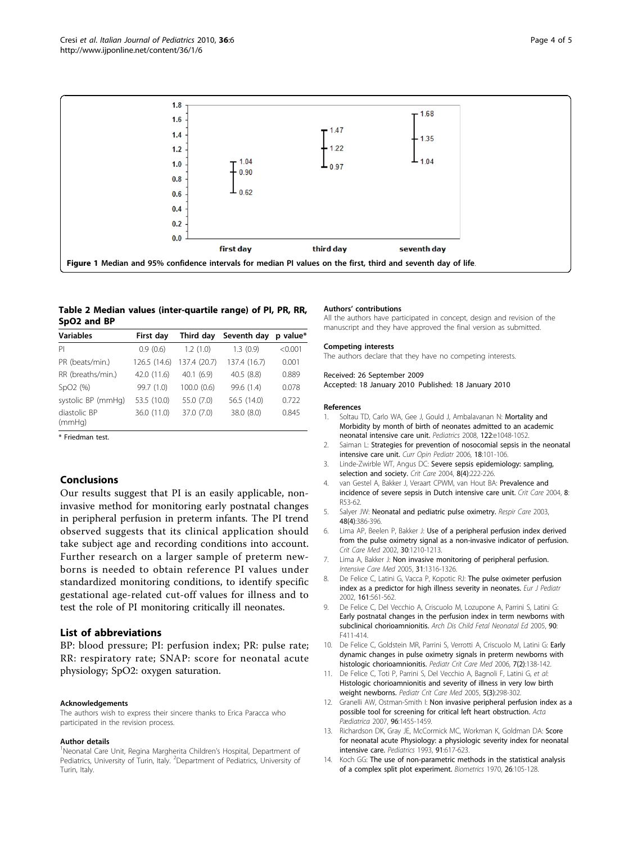<span id="page-3-0"></span>

Table 2 Median values (inter-quartile range) of PI, PR, RR, SpO2 and BP

| <b>Variables</b>       | First day    | Third day    | Seventh day  | p value* |
|------------------------|--------------|--------------|--------------|----------|
| PI                     | 0.9(0.6)     | 1.2(1.0)     | 1.3(0.9)     | < 0.001  |
| PR (beats/min.)        | 126.5 (14.6) | 137.4 (20.7) | 137.4 (16.7) | 0.001    |
| RR (breaths/min.)      | 42.0 (11.6)  | 40.1(6.9)    | 40.5(8.8)    | 0.889    |
| SpO2(%)                | 99.7 (1.0)   | 100.0 (0.6)  | 99.6 (1.4)   | 0.078    |
| systolic BP (mmHq)     | 53.5 (10.0)  | 55.0 (7.0)   | 56.5 (14.0)  | 0.722    |
| diastolic BP<br>(mmHq) | 36.0 (11.0)  | 37.0 (7.0)   | 38.0 (8.0)   | 0.845    |

\* Friedman test.

## Conclusions

Our results suggest that PI is an easily applicable, noninvasive method for monitoring early postnatal changes in peripheral perfusion in preterm infants. The PI trend observed suggests that its clinical application should take subject age and recording conditions into account. Further research on a larger sample of preterm newborns is needed to obtain reference PI values under standardized monitoring conditions, to identify specific gestational age-related cut-off values for illness and to test the role of PI monitoring critically ill neonates.

## List of abbreviations

BP: blood pressure; PI: perfusion index; PR: pulse rate; RR: respiratory rate; SNAP: score for neonatal acute physiology; SpO2: oxygen saturation.

#### Acknowledgements

The authors wish to express their sincere thanks to Erica Paracca who participated in the revision process.

#### Author details

<sup>1</sup>Neonatal Care Unit, Regina Margherita Children's Hospital, Department of Pediatrics, University of Turin, Italy. <sup>2</sup>Department of Pediatrics, University of Turin, Italy.

#### Authors' contributions

All the authors have participated in concept, design and revision of the manuscript and they have approved the final version as submitted.

#### Competing interests

The authors declare that they have no competing interests.

#### Received: 26 September 2009 Accepted: 18 January 2010 Published: 18 January 2010

#### References

- 1. Soltau TD, Carlo WA, Gee J, Gould J, Ambalavanan N: [Mortality and](http://www.ncbi.nlm.nih.gov/pubmed/18977953?dopt=Abstract) [Morbidity by month of birth of neonates admitted to an academic](http://www.ncbi.nlm.nih.gov/pubmed/18977953?dopt=Abstract) [neonatal intensive care unit.](http://www.ncbi.nlm.nih.gov/pubmed/18977953?dopt=Abstract) Pediatrics 2008, 122:e1048-1052.
- 2. Saiman L: [Strategies for prevention of nosocomial sepsis in the neonatal](http://www.ncbi.nlm.nih.gov/pubmed/16601486?dopt=Abstract) [intensive care unit.](http://www.ncbi.nlm.nih.gov/pubmed/16601486?dopt=Abstract) Curr Opin Pediatr 2006, 18:101-106.
- 3. Linde-Zwirble WT, Angus DC: [Severe sepsis epidemiology: sampling,](http://www.ncbi.nlm.nih.gov/pubmed/15312201?dopt=Abstract) [selection and society.](http://www.ncbi.nlm.nih.gov/pubmed/15312201?dopt=Abstract) Crit Care 2004, 8(4):222-226.
- 4. van Gestel A, Bakker J, Veraart CPWM, van Hout BA: Prevalence and incidence of severe sepsis in Dutch intensive care unit. Crit Care 2004, 8: R53-62.
- 5. Salyer JW: [Neonatal and pediatric pulse oximetry.](http://www.ncbi.nlm.nih.gov/pubmed/12667266?dopt=Abstract) Respir Care 2003, 48(4):386-396.
- 6. Lima AP, Beelen P, Bakker J: [Use of a peripheral perfusion index derived](http://www.ncbi.nlm.nih.gov/pubmed/12072670?dopt=Abstract) [from the pulse oximetry signal as a non-invasive indicator of perfusion.](http://www.ncbi.nlm.nih.gov/pubmed/12072670?dopt=Abstract) Crit Care Med 2002, 30:1210-1213.
- 7. Lima A, Bakker J: [Non invasive monitoring of peripheral perfusion.](http://www.ncbi.nlm.nih.gov/pubmed/16170543?dopt=Abstract) Intensive Care Med 2005, 31:1316-1326.
- 8. De Felice C, Latini G, Vacca P, Kopotic RJ: [The pulse oximeter perfusion](http://www.ncbi.nlm.nih.gov/pubmed/12297906?dopt=Abstract) [index as a predictor for high illness severity in neonates.](http://www.ncbi.nlm.nih.gov/pubmed/12297906?dopt=Abstract) Eur J Pediatr 2002, 161:561-562.
- 9. De Felice C, Del Vecchio A, Criscuolo M, Lozupone A, Parrini S, Latini G: [Early postnatal changes in the perfusion index in term newborns with](http://www.ncbi.nlm.nih.gov/pubmed/15863488?dopt=Abstract) [subclinical chorioamnionitis.](http://www.ncbi.nlm.nih.gov/pubmed/15863488?dopt=Abstract) Arch Dis Child Fetal Neonatal Ed 2005, 90: F411-414.
- 10. De Felice C, Goldstein MR, Parrini S, Verrotti A, Criscuolo M, Latini G: [Early](http://www.ncbi.nlm.nih.gov/pubmed/16474255?dopt=Abstract) [dynamic changes in pulse oximetry signals in preterm newborns with](http://www.ncbi.nlm.nih.gov/pubmed/16474255?dopt=Abstract) [histologic chorioamnionitis.](http://www.ncbi.nlm.nih.gov/pubmed/16474255?dopt=Abstract) Pediatr Crit Care Med 2006, 7(2):138-142.
- 11. De Felice C, Toti P, Parrini S, Del Vecchio A, Bagnoli F, Latini G, et al: Histologic chorioamnionitis and severity of illness in very low birth weight newborns. Pediatr Crit Care Med 2005, 5(3):298-302.
- 12. Granelli AW, Ostman-Smith I: Non invasive peripheral perfusion index as a possible tool for screening for critical left heart obstruction. Acta Pædiatrica 2007, 96:1455-1459.
- 13. Richardson DK, Gray JE, McCormick MC, Workman K, Goldman DA: [Score](http://www.ncbi.nlm.nih.gov/pubmed/8441569?dopt=Abstract) [for neonatal acute Physiology: a physiologic severity index for neonatal](http://www.ncbi.nlm.nih.gov/pubmed/8441569?dopt=Abstract) [intensive care.](http://www.ncbi.nlm.nih.gov/pubmed/8441569?dopt=Abstract) Pediatrics 1993, 91:617-623.
- 14. Koch GG: [The use of non-parametric methods in the statistical analysis](http://www.ncbi.nlm.nih.gov/pubmed/5437356?dopt=Abstract) [of a complex split plot experiment.](http://www.ncbi.nlm.nih.gov/pubmed/5437356?dopt=Abstract) Biometrics 1970, 26:105-128.